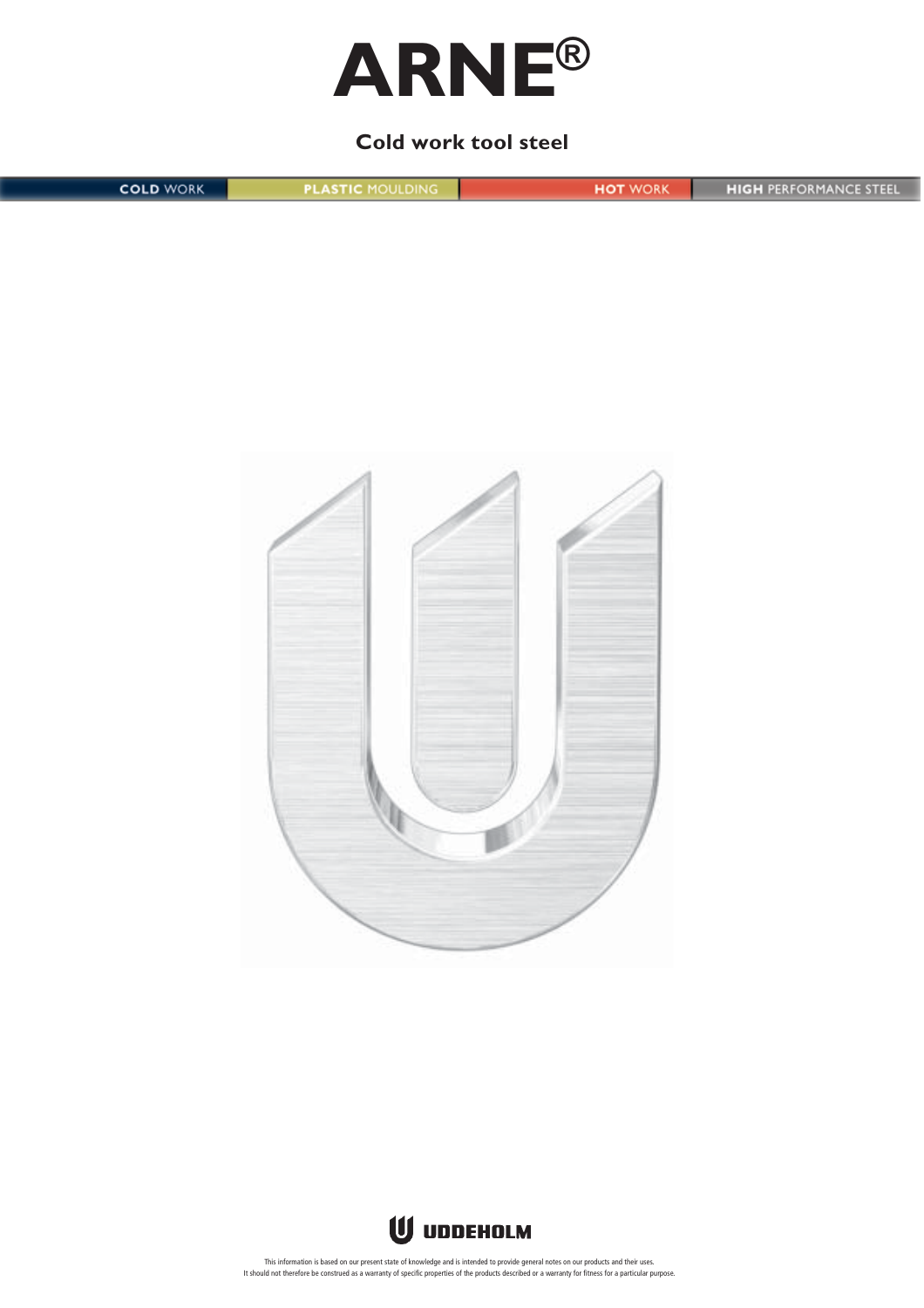

# **Cold work tool steel**

**COLD WORK PLASTIC MOULDING HOT WORK HIGH PERFORMANCE STEEL** 





This information is based on our present state of knowledge and is intended to provide general notes on our products and their uses.<br>It should not therefore be construed as a warranty of specific properties of the products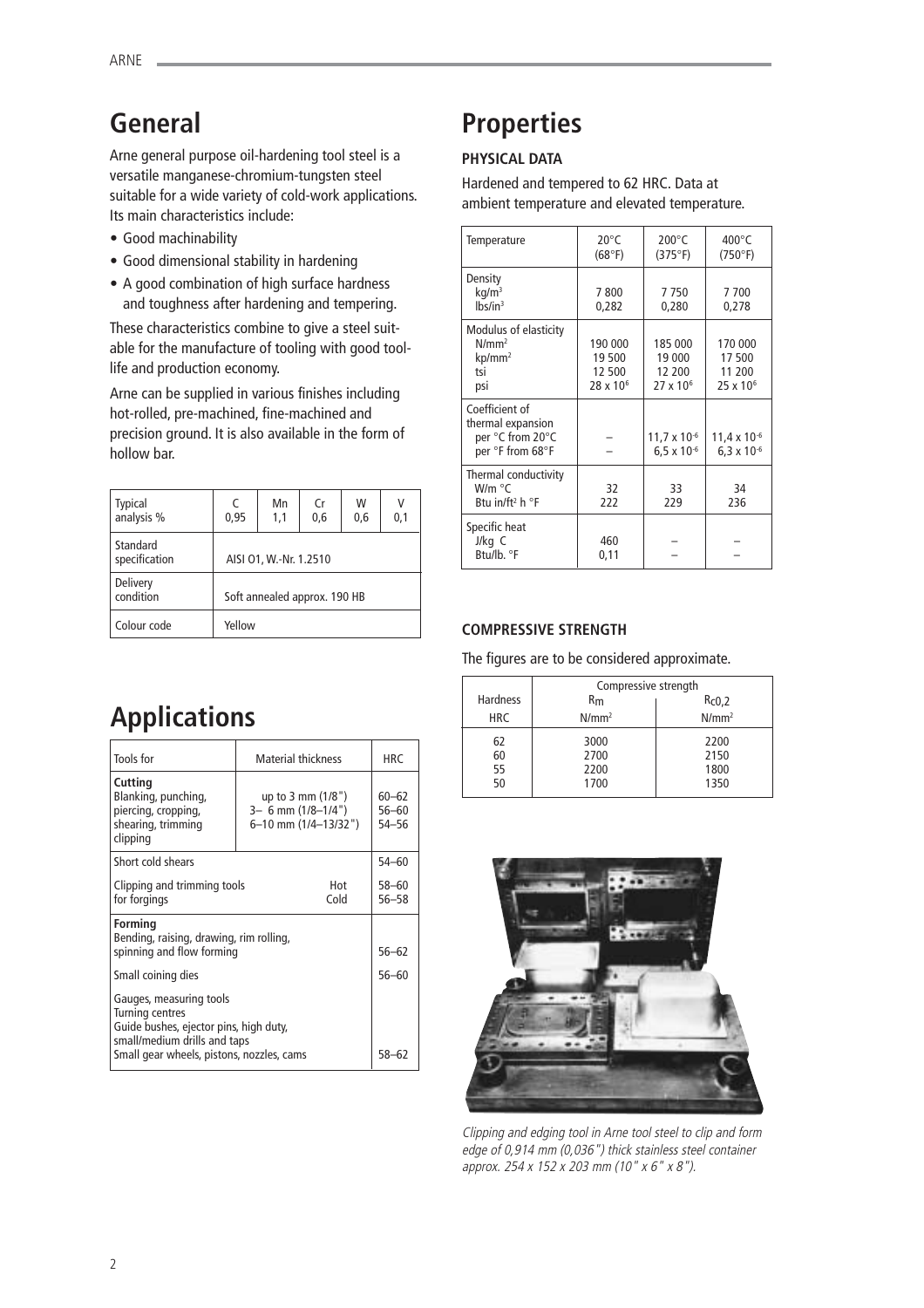# **General**

Arne general purpose oil-hardening tool steel is a versatile manganese-chromium-tungsten steel suitable for a wide variety of cold-work applications. Its main characteristics include:

- Good machinability
- Good dimensional stability in hardening
- A good combination of high surface hardness and toughness after hardening and tempering.

These characteristics combine to give a steel suitable for the manufacture of tooling with good toollife and production economy.

Arne can be supplied in various finishes including hot-rolled, pre-machined, fine-machined and precision ground. It is also available in the form of hollow bar.

| <b>Typical</b><br>analysis % | C<br>0,95                    | Mn<br>1,1 | Cr<br>0,6 | W<br>0,6 | 0,1 |
|------------------------------|------------------------------|-----------|-----------|----------|-----|
| Standard<br>specification    | AISI 01, W.-Nr. 1.2510       |           |           |          |     |
| Delivery<br>condition        | Soft annealed approx. 190 HB |           |           |          |     |
| Colour code                  | Yellow                       |           |           |          |     |

# **Properties**

# **PHYSICAL DATA**

Hardened and tempered to 62 HRC. Data at ambient temperature and elevated temperature.

| Temperature                                                                 | $20^{\circ}$ C<br>(68°F)                          | $200^{\circ}$ C<br>(375°F)                          | $400^{\circ}$ C<br>(750°F)                         |
|-----------------------------------------------------------------------------|---------------------------------------------------|-----------------------------------------------------|----------------------------------------------------|
| Density<br>kq/m <sup>3</sup><br>lbs/in <sup>3</sup>                         | 7800<br>0,282                                     | 7750<br>0,280                                       | 7700<br>0,278                                      |
| Modulus of elasticity<br>$N/mm^2$<br>$kp/mm^2$<br>tsi<br>psi                | 190 000<br>19 500<br>12 500<br>$28 \times 10^{6}$ | 185 000<br>19 000<br>12 200<br>27 x 10 <sup>6</sup> | 170 000<br>17500<br>11 200<br>25 x 10 <sup>6</sup> |
| Coefficient of<br>thermal expansion<br>per °C from 20°C<br>per °F from 68°F |                                                   | $11,7 \times 10^{-6}$<br>$6.5 \times 10^{-6}$       | $11,4 \times 10^{-6}$<br>$6.3 \times 10^{-6}$      |
| Thermal conductivity<br>W/m °C<br>Btu in/ft <sup>2</sup> h $\degree$ F      | 32<br>222                                         | 33<br>229                                           | 34<br>236                                          |
| Specific heat<br>J/kg C<br>Btu/lb. °F                                       | 460<br>0,11                                       |                                                     |                                                    |

## **COMPRESSIVE STRENGTH**

The figures are to be considered approximate.

|                 | Compressive strength |                   |
|-----------------|----------------------|-------------------|
| <b>Hardness</b> | Rm                   | Rc0,2             |
| <b>HRC</b>      | $N/mm^2$             | N/mm <sup>2</sup> |
| 62              | 3000                 | 2200              |
| 60              | 2700                 | 2150              |
| 55              | 2200                 | 1800              |
| 50              | 1700                 | 1350              |



Clipping and edging tool in Arne tool steel to clip and form edge of 0,914 mm (0,036") thick stainless steel container approx. 254 x 152 x 203 mm (10" x 6" x 8").

# **Applications**

| Tools for                                                                                                                                                                | <b>Material thickness</b>                                                    | HRC                             |
|--------------------------------------------------------------------------------------------------------------------------------------------------------------------------|------------------------------------------------------------------------------|---------------------------------|
| Cutting<br>Blanking, punching,<br>piercing, cropping,<br>shearing, trimming<br>clipping                                                                                  | up to $3 \text{ mm} (1/8")$<br>$3-6$ mm $(1/8-1/4")$<br>6-10 mm (1/4-13/32") | $60 - 62$<br>$56 - 60$<br>54-56 |
| Short cold shears                                                                                                                                                        |                                                                              | $54 - 60$                       |
| Clipping and trimming tools<br>for forgings                                                                                                                              | Hot<br>Cold                                                                  | $58 - 60$<br>$56 - 58$          |
| <b>Forming</b><br>Bending, raising, drawing, rim rolling,<br>spinning and flow forming                                                                                   | $56 - 62$                                                                    |                                 |
| Small coining dies                                                                                                                                                       | 56-60                                                                        |                                 |
| Gauges, measuring tools<br><b>Turning centres</b><br>Guide bushes, ejector pins, high duty,<br>small/medium drills and taps<br>Small gear wheels, pistons, nozzles, cams | $58 - 62$                                                                    |                                 |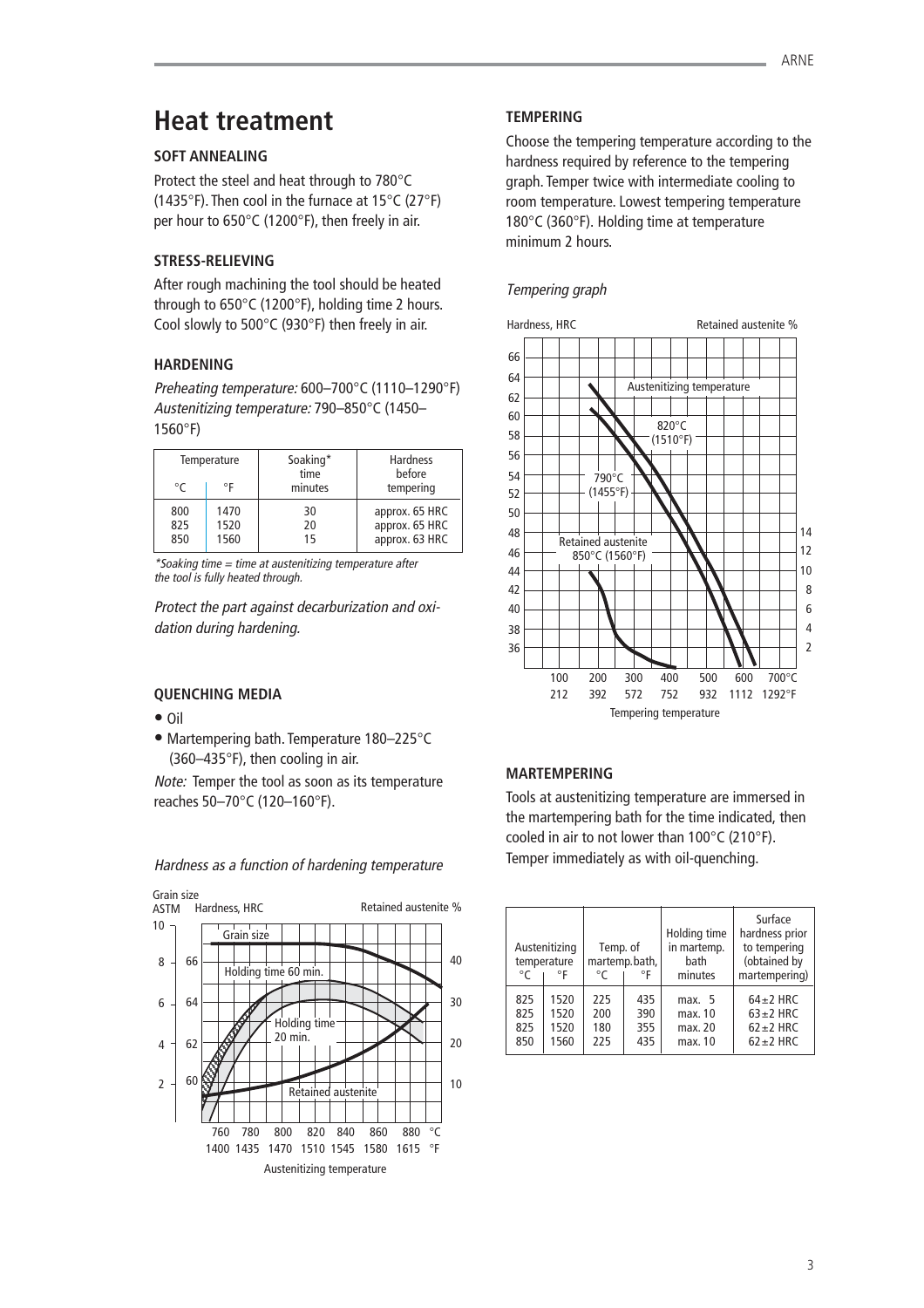# **Heat treatment**

## **SOFT ANNEALING**

Protect the steel and heat through to 780°C (1435°F). Then cool in the furnace at 15°C (27°F) per hour to 650°C (1200°F), then freely in air.

## **STRESS-RELIEVING**

After rough machining the tool should be heated through to 650°C (1200°F), holding time 2 hours. Cool slowly to 500°C (930°F) then freely in air.

# **HARDENING**

Preheating temperature: 600–700°C (1110–1290°F) Austenitizing temperature: 790–850°C (1450– 1560°F)

| Temperature |      | Soaking* | Hardness       |
|-------------|------|----------|----------------|
| ∘г          |      | time     | before         |
| $^{\circ}C$ |      | minutes  | tempering      |
| 800         | 1470 | 30       | approx. 65 HRC |
| 825         | 1520 | 20       | approx. 65 HRC |
| 850         | 1560 | 15       | approx. 63 HRC |

\*Soaking time = time at austenitizing temperature after the tool is fully heated through.

Protect the part against decarburization and oxidation during hardening.

## **QUENCHING MEDIA**

- Oil
- Martempering bath. Temperature 180–225°C (360–435°F), then cooling in air.

Note: Temper the tool as soon as its temperature reaches 50–70°C (120–160°F).



Hardness as a function of hardening temperature

# **TEMPERING**

Choose the tempering temperature according to the hardness required by reference to the tempering graph. Temper twice with intermediate cooling to room temperature. Lowest tempering temperature 180°C (360°F). Holding time at temperature minimum 2 hours.

# Tempering graph



## **MARTEMPERING**

Tools at austenitizing temperature are immersed in the martempering bath for the time indicated, then cooled in air to not lower than 100°C (210°F). Temper immediately as with oil-quenching.

| °C  | Austenitizing<br>temperature<br>°F | Temp. of<br>°C | martemp.bath,<br>°F | Holding time<br>in martemp.<br>bath<br>minutes | Surface<br>hardness prior<br>to tempering<br>(obtained by<br>martempering) |
|-----|------------------------------------|----------------|---------------------|------------------------------------------------|----------------------------------------------------------------------------|
| 825 | 1520                               | 225            | 435                 | max. $5$                                       | $64 \pm 2$ HRC                                                             |
| 825 | 1520                               | 200            | 390                 | max. 10                                        | $63 \pm 2$ HRC                                                             |
| 825 | 1520                               | 180            | 355                 | max. 20                                        | $62 \pm 2$ HRC                                                             |
| 850 | 1560                               | 225            | 435                 | max. 10                                        | $62 \pm 2$ HRC                                                             |

3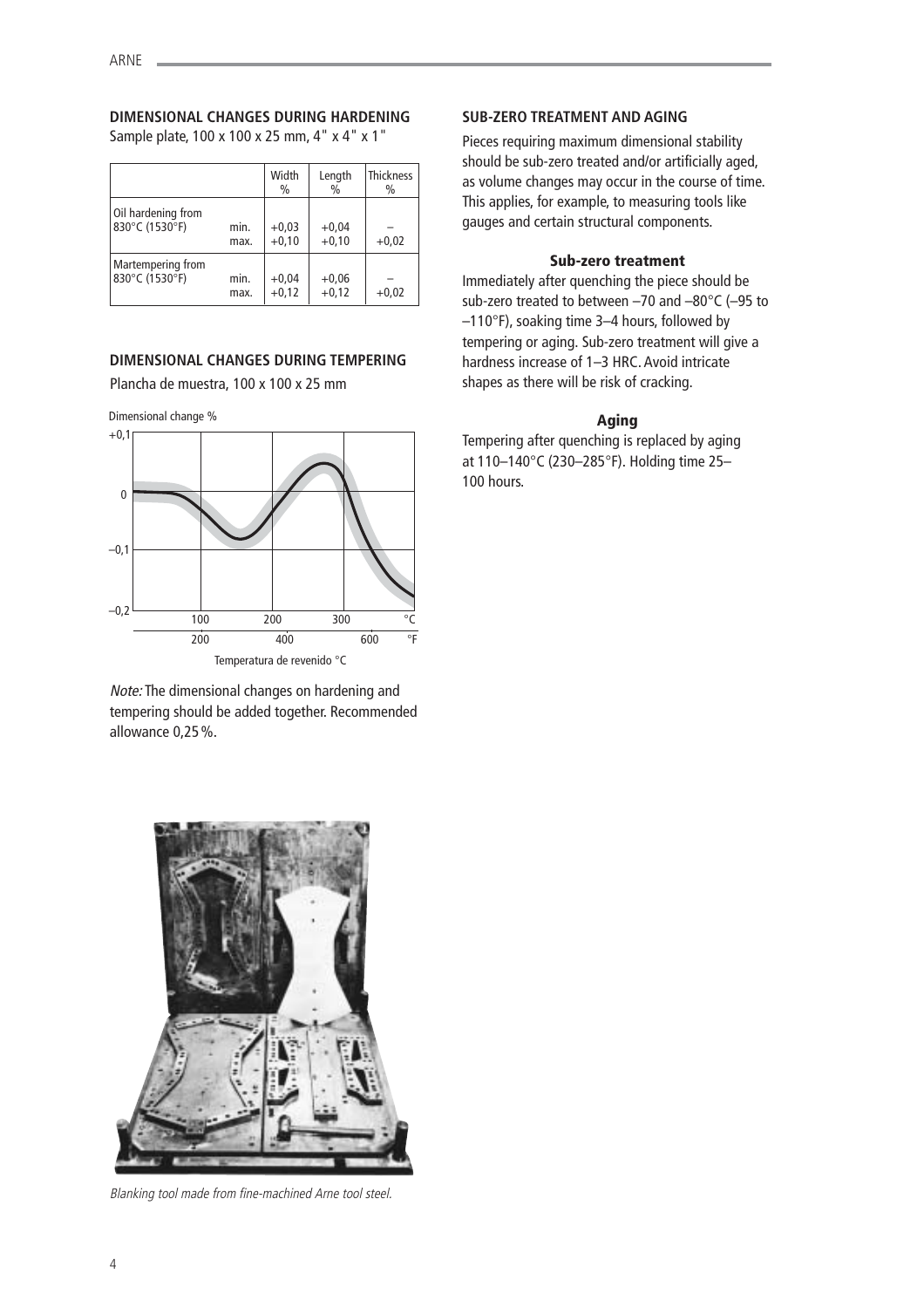# **DIMENSIONAL CHANGES DURING HARDENING**

Sample plate, 100 x 100 x 25 mm, 4" x 4" x 1"

|                    |      | Width<br>$\frac{0}{0}$ | Length<br>$\%$ | <b>Thickness</b><br>$\frac{0}{0}$ |
|--------------------|------|------------------------|----------------|-----------------------------------|
| Oil hardening from | min. | $+0.03$                | $+0,04$        | $+0.02$                           |
| 830°C (1530°F)     | max. | $+0,10$                | $+0,10$        |                                   |
| Martempering from  | min. | $+0,04$                | $+0,06$        | $+0.02$                           |
| 830°C (1530°F)     | max. | $+0,12$                | $+0,12$        |                                   |

## **DIMENSIONAL CHANGES DURING TEMPERING**

Plancha de muestra, 100 x 100 x 25 mm

Dimensional change %



Note: The dimensional changes on hardening and tempering should be added together. Recommended allowance 0,25%.



Pieces requiring maximum dimensional stability should be sub-zero treated and/or artificially aged, as volume changes may occur in the course of time. This applies, for example, to measuring tools like gauges and certain structural components.

## **Sub-zero treatment**

Immediately after quenching the piece should be sub-zero treated to between –70 and –80°C (–95 to –110°F), soaking time 3–4 hours, followed by tempering or aging. Sub-zero treatment will give a hardness increase of 1–3 HRC. Avoid intricate shapes as there will be risk of cracking.

## **Aging**

Tempering after quenching is replaced by aging at 110–140°C (230–285°F). Holding time 25– 100 hours.



Blanking tool made from fine-machined Arne tool steel.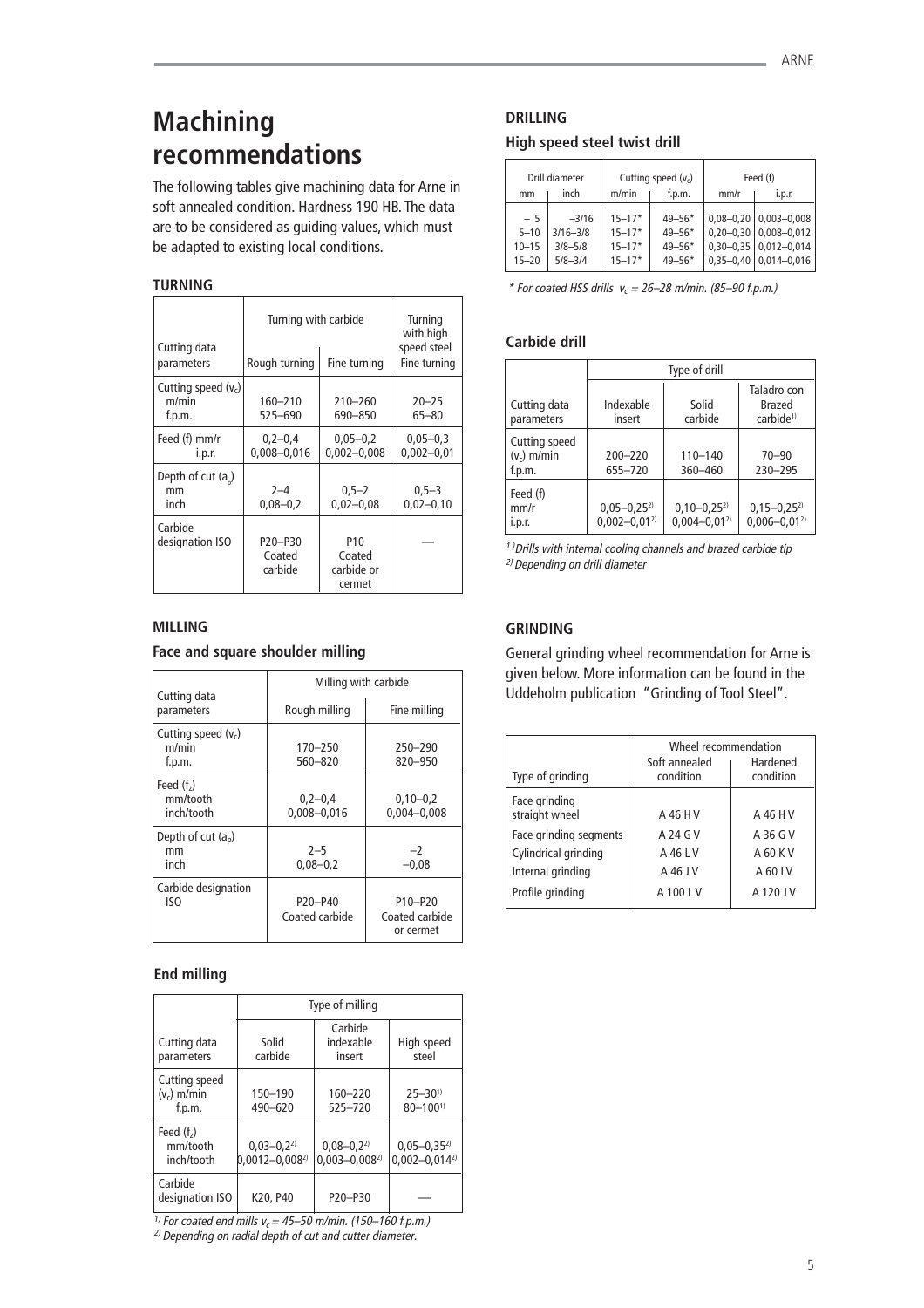# **Machining recommendations**

The following tables give machining data for Arne in soft annealed condition. Hardness 190 HB. The data are to be considered as guiding values, which must be adapted to existing local conditions.

## **TURNING**

| Cutting data<br>parameters               | Turning with carbide<br>Rough turning | Turning<br>with high<br>speed steel<br>Fine turning |                                |
|------------------------------------------|---------------------------------------|-----------------------------------------------------|--------------------------------|
| Cutting speed $(v_c)$<br>m/min<br>f.p.m. | 160-210<br>525-690                    | $210 - 260$<br>690-850                              | $20 - 25$<br>$65 - 80$         |
| Feed (f) mm/r<br>i.p.r.                  | $0.2 - 0.4$<br>$0.008 - 0.016$        | $0.05 - 0.2$<br>$0.002 - 0.008$                     | $0.05 - 0.3$<br>$0,002 - 0,01$ |
| Depth of cut $(a_n)$<br>mm<br>inch       | $2 - 4$<br>$0,08 - 0,2$               | $0.5 - 2$<br>$0,02 - 0,08$                          | $0,5-3$<br>$0,02 - 0,10$       |
| Carbide<br>designation ISO               | P20-P30<br>Coated<br>carbide          | P10<br>Coated<br>carbide or<br>cermet               |                                |

## **MILLING**

## **Face and square shoulder milling**

| Cutting data                             | Milling with carbide                               |                                        |  |  |
|------------------------------------------|----------------------------------------------------|----------------------------------------|--|--|
| parameters                               | Rough milling                                      | Fine milling                           |  |  |
| Cutting speed $(v_c)$<br>m/min<br>f.p.m. | 170-250<br>560-820                                 | 250-290<br>820-950                     |  |  |
| Feed $(fz)$<br>mm/tooth<br>inch/tooth    | $0,2-0,4$<br>0,008-0,016                           | $0,10-0,2$<br>$0.004 - 0.008$          |  |  |
| Depth of cut $(a_n)$<br>mm<br>inch       | $2 - 5$<br>$0,08 - 0,2$                            | $-2$<br>$-0,08$                        |  |  |
| Carbide designation<br>ISO               | P <sub>20</sub> -P <sub>40</sub><br>Coated carbide | P10-P20<br>Coated carbide<br>or cermet |  |  |

## **End milling**

|                                          | Type of milling                          |                                      |                                          |  |
|------------------------------------------|------------------------------------------|--------------------------------------|------------------------------------------|--|
| Cutting data<br>parameters               | Solid<br>carbide                         | Carbide<br>indexable<br>insert       | High speed<br>steel                      |  |
| Cutting speed<br>$(v_c)$ m/min<br>f.p.m. | 150-190<br>490-620                       | $160 - 220$<br>525-720               | $25 - 30^{1}$<br>$80 - 1001$             |  |
| Feed $(fz)$<br>mm/tooth<br>inch/tooth    | $0.03 - 0.2^{2}$<br>$0.0012 - 0.008^{2}$ | $0,08 - 0,22$<br>$0.003 - 0.008^{2}$ | $0.05 - 0.35^{2}$<br>$0.002 - 0.014^{2}$ |  |
| Carbide<br>designation ISO               | K20, P40                                 | P20-P30                              |                                          |  |

<sup>1)</sup> For coated end mills  $v_c = 45 - 50$  m/min. (150–160 f.p.m.)

2) Depending on radial depth of cut and cutter diameter.

## **DRILLING**

## **High speed steel twist drill**

|                                            | Drill diameter                                        | Cutting speed $(v_c)$                                |                                                      |                                                                | Feed (f)                                                                 |
|--------------------------------------------|-------------------------------------------------------|------------------------------------------------------|------------------------------------------------------|----------------------------------------------------------------|--------------------------------------------------------------------------|
| mm                                         | inch                                                  | m/min                                                | f.p.m.                                               | mm/r                                                           | i.p.r.                                                                   |
| $-5$<br>$5 - 10$<br>$10 - 15$<br>$15 - 20$ | $-3/16$<br>$3/16 - 3/8$<br>$3/8 - 5/8$<br>$5/8 - 3/4$ | $15 - 17*$<br>$15 - 17*$<br>$15 - 17*$<br>$15 - 17*$ | $49 - 56*$<br>$49 - 56*$<br>$49 - 56*$<br>$49 - 56*$ | $0.08 - 0.20$<br>$0,20 - 0,30$<br>$0,30-0,35$<br>$0.35 - 0.40$ | $0.003 - 0.008$<br>$0,008 - 0,012$<br>$0,012 - 0,014$<br>$0,014 - 0,016$ |

\* For coated HSS drills  $v_c = 26-28$  m/min. (85-90 f.p.m.)

## **Carbide drill**

|                                          | Type of drill                           |                                       |                                                |  |  |
|------------------------------------------|-----------------------------------------|---------------------------------------|------------------------------------------------|--|--|
| Cutting data<br>parameters               | Indexable<br>insert                     | Solid<br>carbide                      | Taladro con<br>Brazed<br>carbide <sup>1)</sup> |  |  |
| Cutting speed<br>$(v_c)$ m/min<br>f.p.m. | $200 - 220$<br>655-720                  | $110 - 140$<br>360-460                | $70 - 90$<br>230-295                           |  |  |
| Feed (f)<br>mm/r<br>i.p.r.               | $0,05 - 0,25^{2}$<br>$0,002 - 0,01^{2}$ | $0,10-0,25^{2}$<br>$0.004 - 0.01^{2}$ | $0,15-0,25^{2}$<br>$0.006 - 0.01^{2}$          |  |  |

 $1)$  Drills with internal cooling channels and brazed carbide tip 2) Depending on drill diameter

## **GRINDING**

General grinding wheel recommendation for Arne is given below. More information can be found in the Uddeholm publication "Grinding of Tool Steel".

| Type of grinding                | Wheel recommendation<br>Soft annealed<br>condition | Hardened<br>condition |
|---------------------------------|----------------------------------------------------|-----------------------|
| Face grinding<br>straight wheel | A 46 H V                                           | A 46 H V              |
| Face grinding segments          | A 24 G V                                           | A 36 G V              |
| Cylindrical grinding            | A 46 L V                                           | A 60 K V              |
| Internal grinding               | A 46 J V                                           | A 60 I V              |
| Profile grinding                | A 100 L V                                          | A 120 J V             |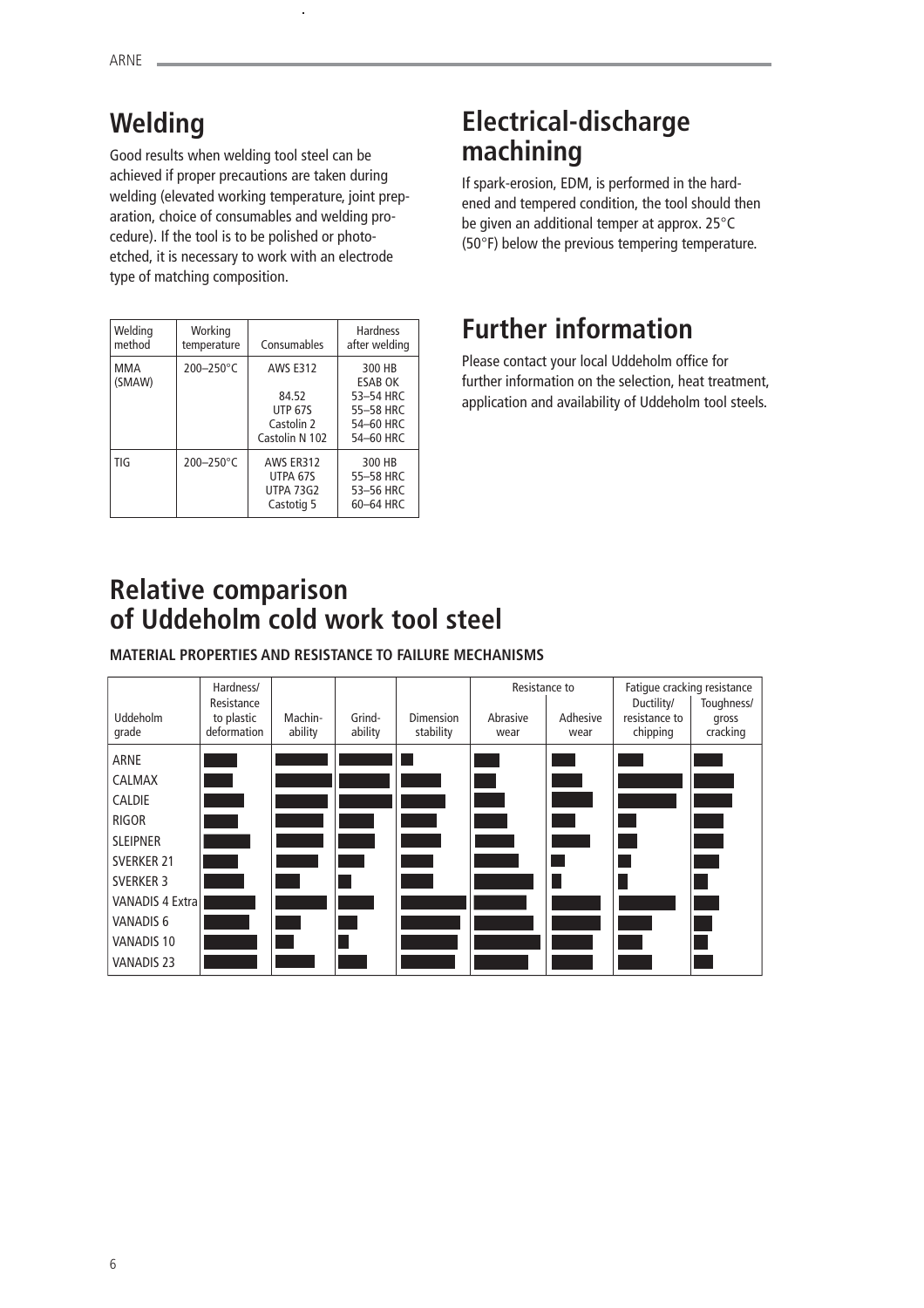# **Welding**

Good results when welding tool steel can be achieved if proper precautions are taken during welding (elevated working temperature, joint preparation, choice of consumables and welding procedure). If the tool is to be polished or photoetched, it is necessary to work with an electrode type of matching composition.

| Welding<br>method | Working<br>temperature | Consumables                                                                | <b>Hardness</b><br>after welding                                             |
|-------------------|------------------------|----------------------------------------------------------------------------|------------------------------------------------------------------------------|
| MMA<br>(SMAW)     | $200 - 250$ °C         | <b>AWS F312</b><br>84.52<br><b>UTP 67S</b><br>Castolin 2<br>Castolin N 102 | 300 HB<br><b>ESAB OK</b><br>53-54 HRC<br>55-58 HRC<br>54-60 HRC<br>54-60 HRC |
| TIG               | $200 - 250$ °C         | AWS FR312<br>UTPA 67S<br><b>UTPA 73G2</b><br>Castotig 5                    | 300 HB<br>55-58 HRC<br>53-56 HRC<br>60-64 HRC                                |

# **Electrical-discharge machining**

If spark-erosion, EDM, is performed in the hardened and tempered condition, the tool should then be given an additional temper at approx. 25°C (50°F) below the previous tempering temperature.

# **Further information**

Please contact your local Uddeholm office for further information on the selection, heat treatment, application and availability of Uddeholm tool steels.

# **Relative comparison of Uddeholm cold work tool steel**

**MATERIAL PROPERTIES AND RESISTANCE TO FAILURE MECHANISMS**

|                          | Hardness/                                                                                                      |                    |                   |                               | Resistance to    |                        | Fatique cracking resistance             |                                 |
|--------------------------|----------------------------------------------------------------------------------------------------------------|--------------------|-------------------|-------------------------------|------------------|------------------------|-----------------------------------------|---------------------------------|
| <b>Uddeholm</b><br>grade | Resistance<br>to plastic<br>deformation                                                                        | Machin-<br>ability | Grind-<br>ability | <b>Dimension</b><br>stability | Abrasive<br>wear | Adhesive<br>wear       | Ductility/<br>resistance to<br>chipping | Toughness/<br>gross<br>cracking |
| <b>ARNE</b>              |                                                                                                                |                    |                   |                               |                  | <b>Service Service</b> |                                         |                                 |
| <b>CALMAX</b>            | and the state of the state of the state of the state of the state of the state of the state of the state of th |                    |                   |                               |                  |                        |                                         |                                 |
| <b>CALDIE</b>            |                                                                                                                |                    |                   |                               |                  |                        |                                         |                                 |
| RIGOR                    |                                                                                                                |                    |                   |                               |                  |                        |                                         |                                 |
| <b>SLEIPNER</b>          |                                                                                                                |                    |                   |                               |                  |                        |                                         |                                 |
| <b>SVERKER 21</b>        |                                                                                                                |                    |                   |                               |                  |                        |                                         |                                 |
| <b>SVERKER 3</b>         |                                                                                                                |                    |                   |                               |                  | H                      |                                         |                                 |
| <b>VANADIS 4 Extral</b>  |                                                                                                                |                    |                   |                               |                  |                        |                                         |                                 |
| VANADIS 6                |                                                                                                                |                    |                   |                               |                  |                        |                                         |                                 |
| VANADIS 10               |                                                                                                                |                    |                   |                               |                  |                        |                                         |                                 |
| <b>VANADIS 23</b>        |                                                                                                                |                    |                   |                               |                  |                        |                                         |                                 |